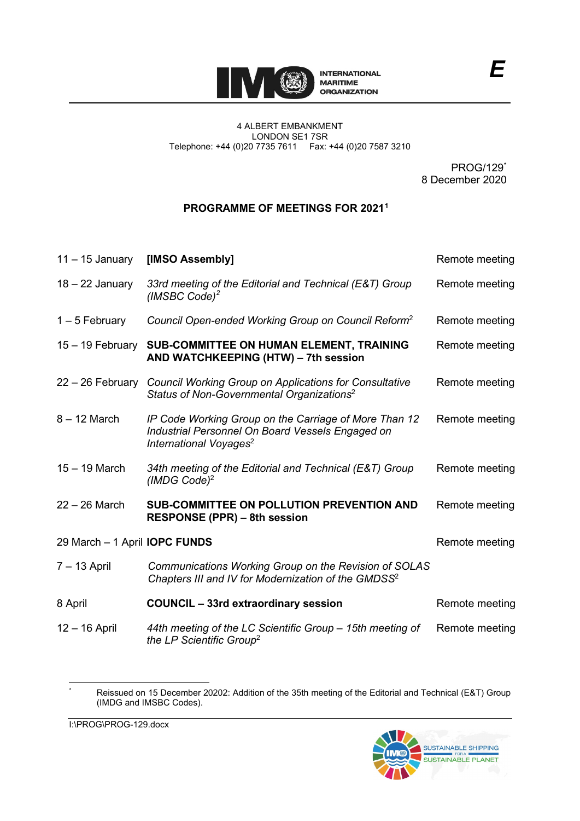

PROG/129[\\*](#page-0-0) 8 December 2020

## **PROGRAMME OF MEETINGS FOR 2021[1](#page-2-0)**

| $11 - 15$ January                    | [IMSO Assembly]                                                                                                                                 | Remote meeting |
|--------------------------------------|-------------------------------------------------------------------------------------------------------------------------------------------------|----------------|
| $18 - 22$ January                    | 33rd meeting of the Editorial and Technical (E&T) Group<br>(IMSBC Code) <sup>2</sup>                                                            | Remote meeting |
| $1 - 5$ February                     | Council Open-ended Working Group on Council Reform <sup>2</sup>                                                                                 | Remote meeting |
| 15 - 19 February                     | SUB-COMMITTEE ON HUMAN ELEMENT, TRAINING<br>AND WATCHKEEPING (HTW) - 7th session                                                                | Remote meeting |
| 22 – 26 February                     | <b>Council Working Group on Applications for Consultative</b><br>Status of Non-Governmental Organizations <sup>2</sup>                          | Remote meeting |
| $8 - 12$ March                       | IP Code Working Group on the Carriage of More Than 12<br>Industrial Personnel On Board Vessels Engaged on<br>International Voyages <sup>2</sup> | Remote meeting |
| $15 - 19$ March                      | 34th meeting of the Editorial and Technical (E&T) Group<br>(IMDG Code) $^2$                                                                     | Remote meeting |
| 22 – 26 March                        | SUB-COMMITTEE ON POLLUTION PREVENTION AND<br><b>RESPONSE (PPR) – 8th session</b>                                                                | Remote meeting |
| 29 March - 1 April <b>IOPC FUNDS</b> |                                                                                                                                                 | Remote meeting |
| 7 – 13 April                         | Communications Working Group on the Revision of SOLAS<br>Chapters III and IV for Modernization of the GMDSS <sup>2</sup>                        |                |
| 8 April                              | <b>COUNCIL - 33rd extraordinary session</b>                                                                                                     | Remote meeting |
| 12 – 16 April                        | 44th meeting of the LC Scientific Group - 15th meeting of<br>the LP Scientific Group <sup>2</sup>                                               | Remote meeting |



<span id="page-0-0"></span><sup>\*</sup> Reissued on 15 December 20202: Addition of the 35th meeting of the Editorial and Technical (E&T) Group (IMDG and IMSBC Codes).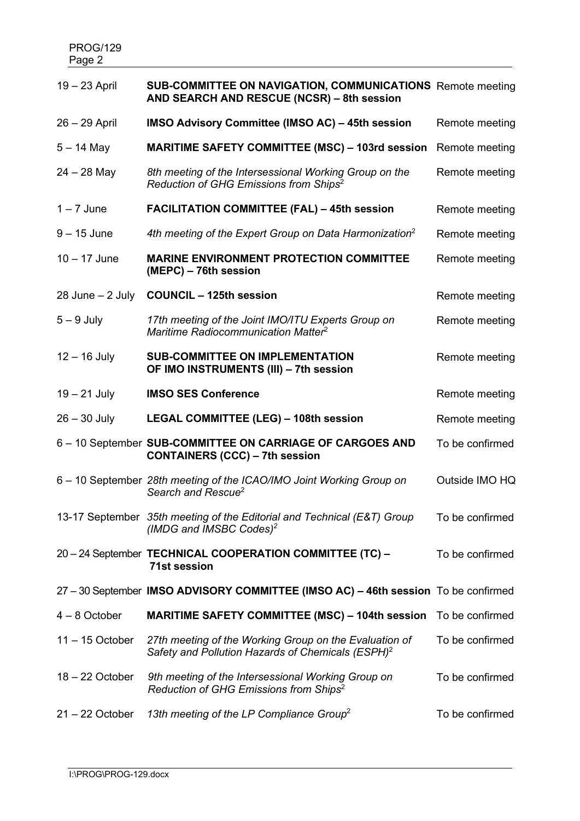| $19 - 23$ April      | <b>SUB-COMMITTEE ON NAVIGATION, COMMUNICATIONS</b> Remote meeting<br>AND SEARCH AND RESCUE (NCSR) - 8th session         |                 |
|----------------------|-------------------------------------------------------------------------------------------------------------------------|-----------------|
| $26 - 29$ April      | <b>IMSO Advisory Committee (IMSO AC) - 45th session</b>                                                                 | Remote meeting  |
| $5 - 14$ May         | <b>MARITIME SAFETY COMMITTEE (MSC) - 103rd session</b>                                                                  | Remote meeting  |
| $24 - 28$ May        | 8th meeting of the Intersessional Working Group on the<br>Reduction of GHG Emissions from Ships <sup>2</sup>            | Remote meeting  |
| $1 - 7$ June         | <b>FACILITATION COMMITTEE (FAL) - 45th session</b>                                                                      | Remote meeting  |
| $9 - 15$ June        | 4th meeting of the Expert Group on Data Harmonization <sup>2</sup>                                                      | Remote meeting  |
| $10 - 17$ June       | <b>MARINE ENVIRONMENT PROTECTION COMMITTEE</b><br>(MEPC) – 76th session                                                 | Remote meeting  |
| $28$ June $- 2$ July | <b>COUNCIL - 125th session</b>                                                                                          | Remote meeting  |
| $5 - 9$ July         | 17th meeting of the Joint IMO/ITU Experts Group on<br>Maritime Radiocommunication Matter <sup>2</sup>                   | Remote meeting  |
| $12 - 16$ July       | <b>SUB-COMMITTEE ON IMPLEMENTATION</b><br>OF IMO INSTRUMENTS (III) - 7th session                                        | Remote meeting  |
| $19 - 21$ July       | <b>IMSO SES Conference</b>                                                                                              | Remote meeting  |
| $26 - 30$ July       | LEGAL COMMITTEE (LEG) - 108th session                                                                                   | Remote meeting  |
|                      | 6 - 10 September SUB-COMMITTEE ON CARRIAGE OF CARGOES AND<br><b>CONTAINERS (CCC) – 7th session</b>                      | To be confirmed |
|                      | 6 - 10 September 28th meeting of the ICAO/IMO Joint Working Group on<br>Search and Rescue <sup>2</sup>                  | Outside IMO HQ  |
|                      | 13-17 September 35th meeting of the Editorial and Technical (E&T) Group<br>(IMDG and IMSBC Codes) <sup>2</sup>          | To be confirmed |
|                      | 20-24 September TECHNICAL COOPERATION COMMITTEE (TC) -<br><b>71st session</b>                                           | To be confirmed |
|                      | 27 - 30 September IMSO ADVISORY COMMITTEE (IMSO AC) - 46th session To be confirmed                                      |                 |
| $4 - 8$ October      | <b>MARITIME SAFETY COMMITTEE (MSC) - 104th session</b> To be confirmed                                                  |                 |
| $11 - 15$ October    | 27th meeting of the Working Group on the Evaluation of<br>Safety and Pollution Hazards of Chemicals (ESPH) <sup>2</sup> | To be confirmed |
| $18 - 22$ October    | 9th meeting of the Intersessional Working Group on<br>Reduction of GHG Emissions from Ships <sup>2</sup>                | To be confirmed |
| $21 - 22$ October    | 13th meeting of the LP Compliance Group <sup>2</sup>                                                                    | To be confirmed |